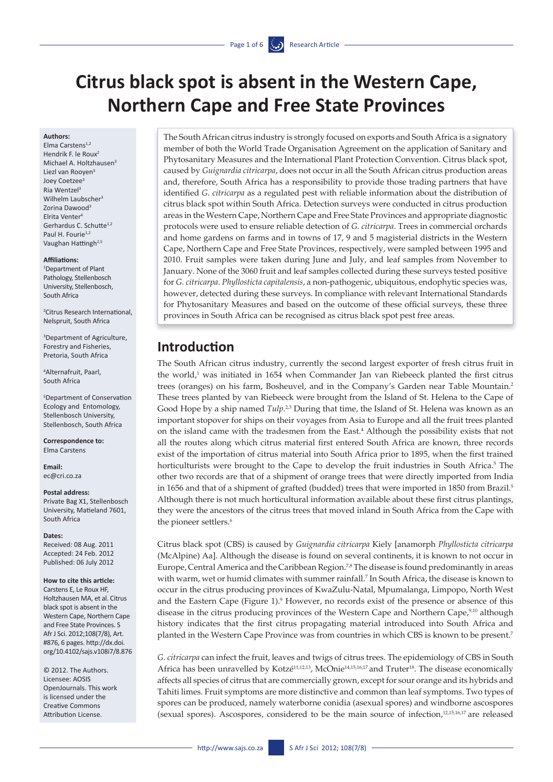# **Citrus black spot is absent in the Western Cape, Northern Cape and Free State Provinces**

#### **Authors:**

Elma Carstens<sup>1,2</sup> Hendrik F. le Roux<sup>2</sup> Michael A. Holtzhausen<sup>3</sup> Liezl van Rooyen<sup>3</sup> Joey Coetzee3 Ria Wentzel<sup>3</sup> Wilhelm Laubscher<sup>3</sup> Zorina Dawood<sup>3</sup> Elrita Venter4 Gerhardus C. Schutte1,2 Paul H. Fourie<sup>1,2</sup> Vaughan Hattingh<sup>2,5</sup>

#### **Affiliations:**

1 Department of Plant Pathology, Stellenbosch University, Stellenbosch, South Africa

2 Citrus Research International, Nelspruit, South Africa

3 Department of Agriculture, Forestry and Fisheries, Pretoria, South Africa

4 Alternafruit, Paarl, South Africa

5 Department of Conservation Ecology and Entomology, Stellenbosch University, Stellenbosch, South Africa

**Correspondence to:**  Elma Carstens

**Email:**  [ec@cri.co.za](ec@cri.co.za )

#### **Postal address:**

Private Bag X1, Stellenbosch University, Matieland 7601, South Africa

#### **Dates:**

Received: 08 Aug. 2011 Accepted: 24 Feb. 2012 Published: 06 July 2012

#### **How to cite this article:**

Carstens E, Le Roux HF, Holtzhausen MA, et al. Citrus black spot is absent in the Western Cape, Northern Cape and Free State Provinces. S Afr J Sci. 2012;108(7/8), Art. #876, 6 pages. http://dx.doi. org/10.4102/sajs.v108i7/8.876

© 2012. The Authors. Licensee: AOSIS OpenJournals. This work is licensed under the Creative Commons Attribution License.

The South African citrus industry is strongly focused on exports and South Africa is a signatory member of both the World Trade Organisation Agreement on the application of Sanitary and Phytosanitary Measures and the International Plant Protection Convention. Citrus black spot, caused by *Guignardia citricarpa*, does not occur in all the South African citrus production areas and, therefore, South Africa has a responsibility to provide those trading partners that have identified *G*. *citricarpa* as a regulated pest with reliable information about the distribution of citrus black spot within South Africa. Detection surveys were conducted in citrus production areas in the Western Cape, Northern Cape and Free State Provinces and appropriate diagnostic protocols were used to ensure reliable detection of *G. citricarpa*. Trees in commercial orchards and home gardens on farms and in towns of 17, 9 and 5 magisterial districts in the Western Cape, Northern Cape and Free State Provinces, respectively, were sampled between 1995 and 2010. Fruit samples were taken during June and July, and leaf samples from November to January. None of the 3060 fruit and leaf samples collected during these surveys tested positive for *G. citricarpa*. *Phyllosticta capitalensis*, a non-pathogenic, ubiquitous, endophytic species was, however, detected during these surveys. In compliance with relevant International Standards for Phytosanitary Measures and based on the outcome of these official surveys, these three provinces in South Africa can be recognised as citrus black spot pest free areas.

# **Introduction**

The South African citrus industry, currently the second largest exporter of fresh citrus fruit in the world, $1$  was initiated in 1654 when Commander Jan van Riebeeck planted the first citrus trees (oranges) on his farm, Bosheuvel, and in the Company's Garden near Table Mountain.2 These trees planted by van Riebeeck were brought from the Island of St. Helena to the Cape of Good Hope by a ship named *Tulp*.<sup>2,3</sup> During that time, the Island of St. Helena was known as an important stopover for ships on their voyages from Asia to Europe and all the fruit trees planted on the island came with the tradesmen from the East.<sup>4</sup> Although the possibility exists that not all the routes along which citrus material first entered South Africa are known, three records exist of the importation of citrus material into South Africa prior to 1895, when the first trained horticulturists were brought to the Cape to develop the fruit industries in South Africa.<sup>5</sup> The other two records are that of a shipment of orange trees that were directly imported from India in 1656 and that of a shipment of grafted (budded) trees that were imported in 1850 from Brazil.<sup>5</sup> Although there is not much horticultural information available about these first citrus plantings, they were the ancestors of the citrus trees that moved inland in South Africa from the Cape with the pioneer settlers.<sup>6</sup>

Citrus black spot (CBS) is caused by *Guignardia citricarpa* Kiely [anamorph *Phyllosticta citricarpa* (McAlpine) Aa]. Although the disease is found on several continents, it is known to not occur in Europe, Central America and the Caribbean Region.<sup>7,8</sup> The disease is found predominantly in areas with warm, wet or humid climates with summer rainfall.<sup>7</sup> In South Africa, the disease is known to occur in the citrus producing provinces of KwaZulu-Natal, Mpumalanga, Limpopo, North West and the Eastern Cape (Figure 1).<sup>9</sup> However, no records exist of the presence or absence of this disease in the citrus producing provinces of the Western Cape and Northern Cape,<sup>9,10</sup> although history indicates that the first citrus propagating material introduced into South Africa and planted in the Western Cape Province was from countries in which CBS is known to be present.7

*G. citricarpa* can infect the fruit, leaves and twigs of citrus trees. The epidemiology of CBS in South Africa has been unravelled by Kotzé<sup>11,12,13</sup>, McOnie<sup>14,15,16,17</sup> and Truter<sup>18</sup>. The disease economically affects all species of citrus that are commercially grown, except for sour orange and its hybrids and Tahiti limes. Fruit symptoms are more distinctive and common than leaf symptoms. Two types of spores can be produced, namely waterborne conidia (asexual spores) and windborne ascospores (sexual spores). Ascospores, considered to be the main source of infection,12,15,16,17 are released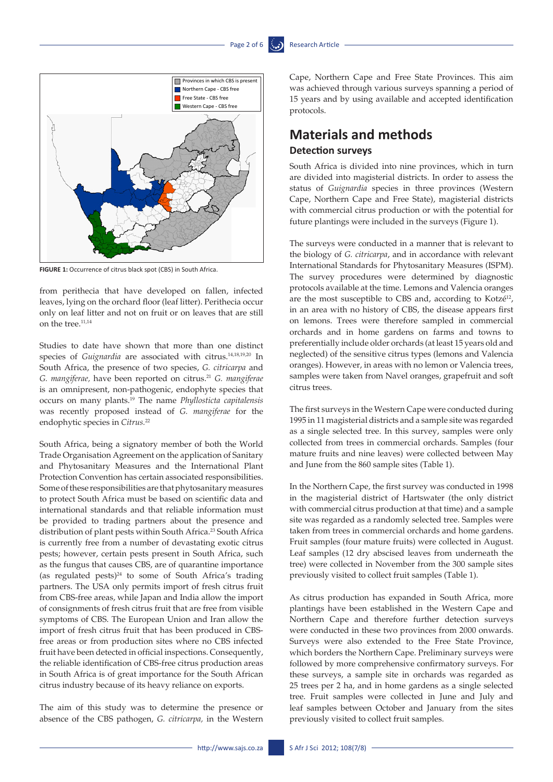#### Page 2 of 6  $\ddot{\bullet}$ .



**FIGURE 1:** Occurrence of citrus black spot (CBS) in South Africa.

from perithecia that have developed on fallen, infected leaves, lying on the orchard floor (leaf litter). Perithecia occur only on leaf litter and not on fruit or on leaves that are still on the tree.11,14

Studies to date have shown that more than one distinct species of *Guignardia* are associated with citrus.14,18,19,20 In South Africa, the presence of two species, *G. citricarpa* and *G. mangiferae,* have been reported on citrus.21 *G. mangiferae*  is an omnipresent, non-pathogenic, endophyte species that occurs on many plants.19 The name *Phyllosticta capitalensis* was recently proposed instead of *G. mangiferae* for the endophytic species in *Citrus.*<sup>22</sup>

South Africa, being a signatory member of both the World Trade Organisation Agreement on the application of Sanitary and Phytosanitary Measures and the International Plant Protection Convention has certain associated responsibilities. Some of these responsibilities are that phytosanitary measures to protect South Africa must be based on scientific data and international standards and that reliable information must be provided to trading partners about the presence and distribution of plant pests within South Africa.<sup>23</sup> South Africa is currently free from a number of devastating exotic citrus pests; however, certain pests present in South Africa, such as the fungus that causes CBS, are of quarantine importance (as regulated pests) $24$  to some of South Africa's trading partners. The USA only permits import of fresh citrus fruit from CBS-free areas, while Japan and India allow the import of consignments of fresh citrus fruit that are free from visible symptoms of CBS. The European Union and Iran allow the import of fresh citrus fruit that has been produced in CBSfree areas or from production sites where no CBS infected fruit have been detected in official inspections. Consequently, the reliable identification of CBS-free citrus production areas in South Africa is of great importance for the South African citrus industry because of its heavy reliance on exports.

The aim of this study was to determine the presence or absence of the CBS pathogen, *G. citricarpa,* in the Western Cape, Northern Cape and Free State Provinces. This aim was achieved through various surveys spanning a period of 15 years and by using available and accepted identification protocols.

# **Materials and methods Detection surveys**

South Africa is divided into nine provinces, which in turn are divided into magisterial districts. In order to assess the status of *Guignardia* species in three provinces (Western Cape, Northern Cape and Free State), magisterial districts with commercial citrus production or with the potential for future plantings were included in the surveys (Figure 1).

The surveys were conducted in a manner that is relevant to the biology of *G. citricarpa*, and in accordance with relevant **International Standards for Phytosanitary Measures (ISPM).** The survey procedures were determined by diagnostic protocols available at the time. Lemons and Valencia oranges are the most susceptible to CBS and, according to Kotzé<sup>12</sup>, in an area with no history of CBS, the disease appears first on lemons. Trees were therefore sampled in commercial orchards and in home gardens on farms and towns to preferentially include older orchards (at least 15 years old and neglected) of the sensitive citrus types (lemons and Valencia oranges). However, in areas with no lemon or Valencia trees, samples were taken from Navel oranges, grapefruit and soft citrus trees.

> The first surveys in the Western Cape were conducted during 1995 in 11 magisterial districts and a sample site was regarded as a single selected tree. In this survey, samples were only collected from trees in commercial orchards. Samples (four mature fruits and nine leaves) were collected between May and June from the 860 sample sites (Table 1).

> In the Northern Cape, the first survey was conducted in 1998 in the magisterial district of Hartswater (the only district with commercial citrus production at that time) and a sample site was regarded as a randomly selected tree. Samples were taken from trees in commercial orchards and home gardens. Fruit samples (four mature fruits) were collected in August. Leaf samples (12 dry abscised leaves from underneath the tree) were collected in November from the 300 sample sites previously visited to collect fruit samples (Table 1).

> As citrus production has expanded in South Africa, more plantings have been established in the Western Cape and Northern Cape and therefore further detection surveys were conducted in these two provinces from 2000 onwards. Surveys were also extended to the Free State Province, which borders the Northern Cape. Preliminary surveys were followed by more comprehensive confirmatory surveys. For these surveys, a sample site in orchards was regarded as 25 trees per 2 ha, and in home gardens as a single selected tree. Fruit samples were collected in June and July and leaf samples between October and January from the sites previously visited to collect fruit samples.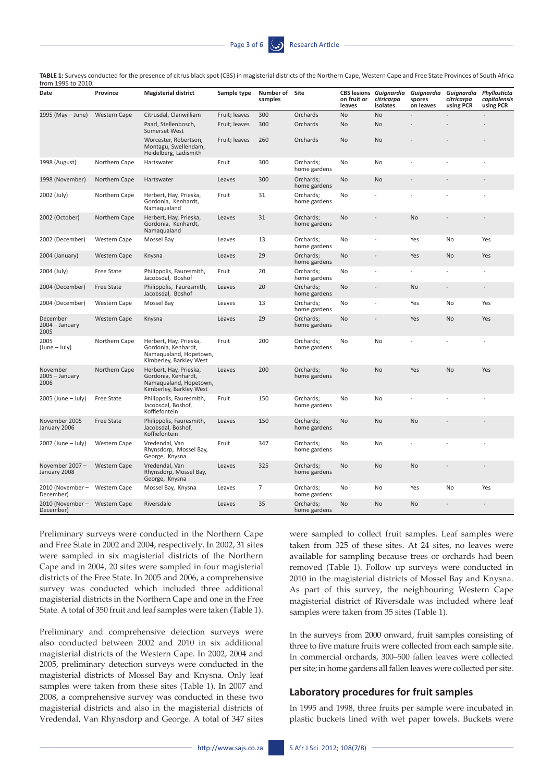| 10m 1995 to 2010                           |                     |                                                                                                    |               |                           |                           |                       |                                                         |                                   |                                       |                                           |
|--------------------------------------------|---------------------|----------------------------------------------------------------------------------------------------|---------------|---------------------------|---------------------------|-----------------------|---------------------------------------------------------|-----------------------------------|---------------------------------------|-------------------------------------------|
| Date                                       | Province            | <b>Magisterial district</b>                                                                        | Sample type   | Number of Site<br>samples |                           | on fruit or<br>leaves | <b>CBS lesions Guignardia</b><br>citricarpa<br>isolates | Guignardia<br>spores<br>on leaves | Guignardia<br>citricarpa<br>using PCR | Phyllosticta<br>capitalensis<br>using PCR |
| 1995 (May - June)                          | <b>Western Cape</b> | Citrusdal, Clanwilliam                                                                             | Fruit; leaves | 300                       | Orchards                  | No                    | No                                                      |                                   |                                       |                                           |
|                                            |                     | Paarl, Stellenbosch,<br>Somerset West                                                              | Fruit; leaves | 300                       | Orchards                  | <b>No</b>             | <b>No</b>                                               |                                   |                                       |                                           |
|                                            |                     | Worcester, Robertson,<br>Montagu, Swellendam,<br>Heidelberg, Ladismith                             | Fruit; leaves | 260                       | Orchards                  | No                    | <b>No</b>                                               |                                   |                                       |                                           |
| 1998 (August)                              | Northern Cape       | Hartswater                                                                                         | Fruit         | 300                       | Orchards;<br>home gardens | No                    | No                                                      |                                   |                                       |                                           |
| 1998 (November)                            | Northern Cape       | Hartswater                                                                                         | Leaves        | 300                       | Orchards;<br>home gardens | No                    | No                                                      |                                   |                                       |                                           |
| 2002 (July)                                | Northern Cape       | Herbert, Hay, Prieska,<br>Gordonia, Kenhardt,<br>Namaqualand                                       | Fruit         | 31                        | Orchards;<br>home gardens | No                    |                                                         |                                   |                                       |                                           |
| 2002 (October)                             | Northern Cape       | Herbert, Hay, Prieska,<br>Gordonia, Kenhardt,<br>Namaqualand                                       | Leaves        | 31                        | Orchards;<br>home gardens | No                    |                                                         | <b>No</b>                         |                                       |                                           |
| 2002 (December)                            | Western Cape        | Mossel Bay                                                                                         | Leaves        | 13                        | Orchards;<br>home gardens | No                    |                                                         | Yes                               | No                                    | Yes                                       |
| 2004 (January)                             | <b>Western Cape</b> | Knysna                                                                                             | Leaves        | 29                        | Orchards;<br>home gardens | No                    | $\overline{a}$                                          | Yes                               | No                                    | Yes                                       |
| 2004 (July)                                | Free State          | Philippolis, Fauresmith,<br>Jacobsdal, Boshof                                                      | Fruit         | 20                        | Orchards;<br>home gardens | No                    |                                                         |                                   |                                       |                                           |
| 2004 (December)                            | <b>Free State</b>   | Philippolis, Fauresmith,<br>Jacobsdal, Boshof                                                      | Leaves        | 20                        | Orchards;<br>home gardens | No                    |                                                         | No                                |                                       |                                           |
| 2004 (December)                            | Western Cape        | Mossel Bay                                                                                         | Leaves        | 13                        | Orchards;<br>home gardens | No                    |                                                         | Yes                               | No                                    | Yes                                       |
| December<br>2004 – January<br>2005         | <b>Western Cape</b> | Knysna                                                                                             | Leaves        | 29                        | Orchards;<br>home gardens | No                    |                                                         | Yes                               | No                                    | Yes                                       |
| 2005<br>(June – July)                      | Northern Cape       | Herbert, Hay, Prieska,<br>Gordonia, Kenhardt,<br>Namaqualand, Hopetown,<br>Kimberley, Barkley West | Fruit         | 200                       | Orchards;<br>home gardens | No                    | No                                                      |                                   |                                       |                                           |
| November<br>2005 - January<br>2006         | Northern Cape       | Herbert, Hay, Prieska,<br>Gordonia, Kenhardt,<br>Namaqualand, Hopetown,<br>Kimberley, Barkley West | Leaves        | 200                       | Orchards;<br>home gardens | No                    | <b>No</b>                                               | Yes                               | No                                    | Yes                                       |
| 2005 (June – July)                         | <b>Free State</b>   | Philippolis, Fauresmith,<br>Jacobsdal, Boshof,<br>Koffiefontein                                    | Fruit         | 150                       | Orchards;<br>home gardens | No                    | No.                                                     |                                   |                                       |                                           |
| November 2005 -<br>January 2006            | <b>Free State</b>   | Philippolis, Fauresmith,<br>Jacobsdal, Boshof,<br>Koffiefontein                                    | Leaves        | 150                       | Orchards;<br>home gardens | No                    | <b>No</b>                                               | <b>No</b>                         |                                       |                                           |
| 2007 (June - July)                         | <b>Western Cape</b> | Vredendal, Van<br>Rhynsdorp, Mossel Bay,<br>George, Knysna                                         | Fruit         | 347                       | Orchards;<br>home gardens | No                    | No                                                      |                                   |                                       |                                           |
| November 2007 -<br>January 2008            | <b>Western Cape</b> | Vredendal, Van<br>Rhynsdorp, Mossel Bay,<br>George, Knysna                                         | Leaves        | 325                       | Orchards;<br>home gardens | No                    | <b>No</b>                                               | <b>No</b>                         |                                       |                                           |
| 2010 (November –<br>December)              | <b>Western Cape</b> | Mossel Bay, Knysna                                                                                 | Leaves        | 7                         | Orchards;<br>home gardens | No                    | No                                                      | Yes                               | No                                    | Yes                                       |
| 2010 (November - Western Cape<br>December) |                     | Riversdale                                                                                         | Leaves        | 35                        | Orchards;<br>home gardens | No                    | No                                                      | <b>No</b>                         |                                       |                                           |

**TABLE 1:** Surveys conducted for the presence of citrus black spot (CBS) in magisterial districts of the Northern Cape, Western Cape and Free State Provinces of South Africa from 1995 to 2010.

Preliminary surveys were conducted in the Northern Cape and Free State in 2002 and 2004, respectively. In 2002, 31 sites were sampled in six magisterial districts of the Northern Cape and in 2004, 20 sites were sampled in four magisterial districts of the Free State. In 2005 and 2006, a comprehensive survey was conducted which included three additional magisterial districts in the Northern Cape and one in the Free State. A total of 350 fruit and leaf samples were taken (Table 1).

Preliminary and comprehensive detection surveys were also conducted between 2002 and 2010 in six additional magisterial districts of the Western Cape. In 2002, 2004 and 2005, preliminary detection surveys were conducted in the magisterial districts of Mossel Bay and Knysna. Only leaf samples were taken from these sites (Table 1). In 2007 and 2008, a comprehensive survey was conducted in these two magisterial districts and also in the magisterial districts of Vredendal, Van Rhynsdorp and George. A total of 347 sites were sampled to collect fruit samples. Leaf samples were taken from 325 of these sites. At 24 sites, no leaves were available for sampling because trees or orchards had been removed (Table 1). Follow up surveys were conducted in 2010 in the magisterial districts of Mossel Bay and Knysna. As part of this survey, the neighbouring Western Cape magisterial district of Riversdale was included where leaf samples were taken from 35 sites (Table 1).

In the surveys from 2000 onward, fruit samples consisting of three to five mature fruits were collected from each sample site. In commercial orchards, 300–500 fallen leaves were collected per site; in home gardens all fallen leaves were collected per site.

#### **Laboratory procedures for fruit samples**

In 1995 and 1998, three fruits per sample were incubated in plastic buckets lined with wet paper towels. Buckets were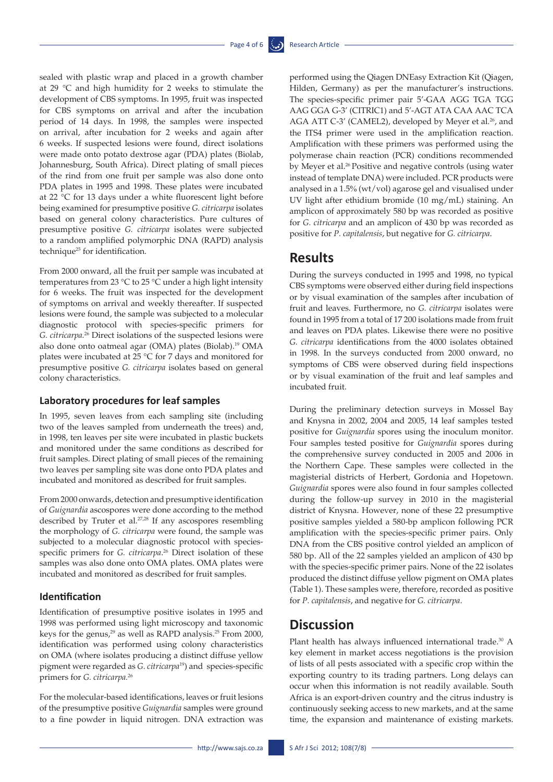sealed with plastic wrap and placed in a growth chamber at 29 °C and high humidity for 2 weeks to stimulate the development of CBS symptoms. In 1995, fruit was inspected for CBS symptoms on arrival and after the incubation period of 14 days. In 1998, the samples were inspected on arrival, after incubation for 2 weeks and again after 6 weeks. If suspected lesions were found, direct isolations were made onto potato dextrose agar (PDA) plates (Biolab, Johannesburg, South Africa). Direct plating of small pieces of the rind from one fruit per sample was also done onto PDA plates in 1995 and 1998. These plates were incubated at 22 °C for 13 days under a white fluorescent light before being examined for presumptive positive *G. citricarpa* isolates based on general colony characteristics. Pure cultures of presumptive positive *G. citricarpa* isolates were subjected to a random amplified polymorphic DNA (RAPD) analysis technique<sup>25</sup> for identification.

From 2000 onward, all the fruit per sample was incubated at temperatures from 23 °C to 25 °C under a high light intensity for 6 weeks. The fruit was inspected for the development of symptoms on arrival and weekly thereafter. If suspected lesions were found, the sample was subjected to a molecular diagnostic protocol with species-specific primers for *G. citricarpa.*<sup>26</sup> Direct isolations of the suspected lesions were also done onto oatmeal agar (OMA) plates (Biolab).19 OMA plates were incubated at 25 °C for 7 days and monitored for presumptive positive *G. citricarpa* isolates based on general colony characteristics.

#### **Laboratory procedures for leaf samples**

In 1995, seven leaves from each sampling site (including two of the leaves sampled from underneath the trees) and, in 1998, ten leaves per site were incubated in plastic buckets and monitored under the same conditions as described for fruit samples. Direct plating of small pieces of the remaining two leaves per sampling site was done onto PDA plates and incubated and monitored as described for fruit samples.

From 2000 onwards, detection and presumptive identification of *Guignardia* ascospores were done according to the method described by Truter et al*.* 27,28 If any ascospores resembling the morphology of *G. citricarpa* were found, the sample was subjected to a molecular diagnostic protocol with speciesspecific primers for *G. citricarpa*. 26 Direct isolation of these samples was also done onto OMA plates. OMA plates were incubated and monitored as described for fruit samples.

#### **Identification**

Identification of presumptive positive isolates in 1995 and 1998 was performed using light microscopy and taxonomic keys for the genus,<sup>29</sup> as well as RAPD analysis.<sup>25</sup> From 2000, identification was performed using colony characteristics on OMA (where isolates producing a distinct diffuse yellow pigment were regarded as *G. citricarpa*19) and species-specific primers for *G. citricarpa.*<sup>26</sup>

For the molecular-based identifications, leaves or fruit lesions of the presumptive positive *Guignardia* samples were ground to a fine powder in liquid nitrogen. DNA extraction was

http://www.sajs.co.za S Afr J Sci 2012; 108(7/8) -

performed using the Qiagen DNEasy Extraction Kit (Qiagen, Hilden, Germany) as per the manufacturer's instructions. The species-specific primer pair 5'-GAA AGG TGA TGG AAG GGA G-3' (CITRIC1) and 5'-AGT ATA CAA AAC TCA AGA ATT C-3' (CAMEL2), developed by Meyer et al*.* 26, and the ITS4 primer were used in the amplification reaction. Amplification with these primers was performed using the polymerase chain reaction (PCR) conditions recommended by Meyer et al.<sup>26</sup> Positive and negative controls (using water instead of template DNA) were included. PCR products were analysed in a 1.5% (wt/vol) agarose gel and visualised under UV light after ethidium bromide (10 mg/mL) staining. An amplicon of approximately 580 bp was recorded as positive for *G. citricarpa* and an amplicon of 430 bp was recorded as positive for *P. capitalensis*, but negative for *G. citricarpa*.

### **Results**

During the surveys conducted in 1995 and 1998, no typical CBS symptoms were observed either during field inspections or by visual examination of the samples after incubation of fruit and leaves. Furthermore, no *G. citricarpa* isolates were found in 1995 from a total of 17 200 isolations made from fruit and leaves on PDA plates. Likewise there were no positive *G. citricarpa* identifications from the 4000 isolates obtained in 1998. In the surveys conducted from 2000 onward, no symptoms of CBS were observed during field inspections or by visual examination of the fruit and leaf samples and incubated fruit.

During the preliminary detection surveys in Mossel Bay and Knysna in 2002, 2004 and 2005, 14 leaf samples tested positive for *Guignardia* spores using the inoculum monitor. Four samples tested positive for *Guignardia* spores during the comprehensive survey conducted in 2005 and 2006 in the Northern Cape. These samples were collected in the magisterial districts of Herbert, Gordonia and Hopetown. *Guignardia* spores were also found in four samples collected during the follow-up survey in 2010 in the magisterial district of Knysna. However, none of these 22 presumptive positive samples yielded a 580-bp amplicon following PCR amplification with the species-specific primer pairs. Only DNA from the CBS positive control yielded an amplicon of 580 bp. All of the 22 samples yielded an amplicon of 430 bp with the species-specific primer pairs. None of the 22 isolates produced the distinct diffuse yellow pigment on OMA plates (Table 1). These samples were, therefore, recorded as positive for *P. capitalensis*, and negative for *G. citricarpa*.

# **Discussion**

Plant health has always influenced international trade.<sup>30</sup> A key element in market access negotiations is the provision of lists of all pests associated with a specific crop within the exporting country to its trading partners. Long delays can occur when this information is not readily available. South Africa is an export-driven country and the citrus industry is continuously seeking access to new markets, and at the same time, the expansion and maintenance of existing markets.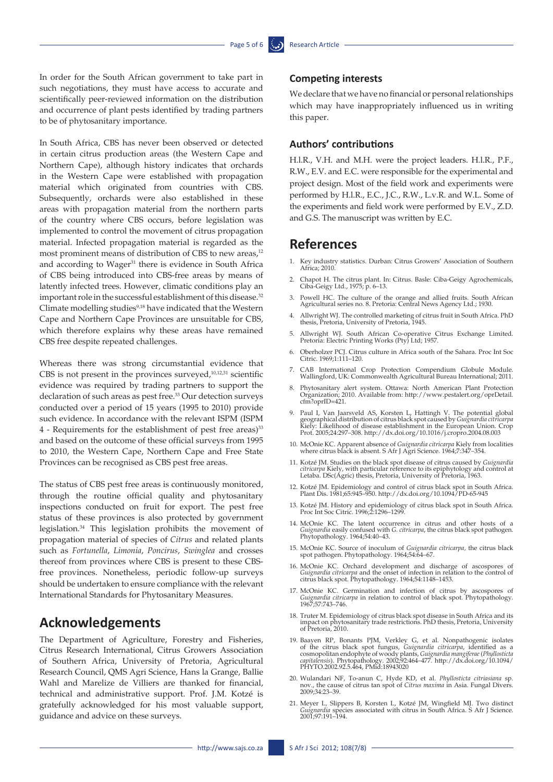In order for the South African government to take part in such negotiations, they must have access to accurate and scientifically peer-reviewed information on the distribution and occurrence of plant pests identified by trading partners to be of phytosanitary importance.

In South Africa, CBS has never been observed or detected in certain citrus production areas (the Western Cape and Northern Cape), although history indicates that orchards in the Western Cape were established with propagation material which originated from countries with CBS. Subsequently, orchards were also established in these areas with propagation material from the northern parts of the country where CBS occurs, before legislation was implemented to control the movement of citrus propagation material. Infected propagation material is regarded as the most prominent means of distribution of CBS to new areas,<sup>12</sup> and according to Wager<sup>31</sup> there is evidence in South Africa of CBS being introduced into CBS-free areas by means of latently infected trees. However, climatic conditions play an important role in the successful establishment of this disease.<sup>32</sup> Climate modelling studies<sup>9,18</sup> have indicated that the Western Cape and Northern Cape Provinces are unsuitable for CBS, which therefore explains why these areas have remained CBS free despite repeated challenges.

Whereas there was strong circumstantial evidence that CBS is not present in the provinces surveyed,<sup>10,12,31</sup> scientific evidence was required by trading partners to support the declaration of such areas as pest free.<sup>33</sup> Our detection surveys conducted over a period of 15 years (1995 to 2010) provide such evidence. In accordance with the relevant ISPM (ISPM 4 - Requirements for the establishment of pest free areas)33 and based on the outcome of these official surveys from 1995 to 2010, the Western Cape, Northern Cape and Free State Provinces can be recognised as CBS pest free areas.

The status of CBS pest free areas is continuously monitored, through the routine official quality and phytosanitary inspections conducted on fruit for export. The pest free status of these provinces is also protected by government legislation.34 This legislation prohibits the movement of propagation material of species of *Citrus* and related plants such as *Fortunella*, *Limonia*, *Poncirus*, *Swinglea* and crosses thereof from provinces where CBS is present to these CBSfree provinces. Nonetheless, periodic follow-up surveys should be undertaken to ensure compliance with the relevant International Standards for Phytosanitary Measures.

# **Acknowledgements**

The Department of Agriculture, Forestry and Fisheries, Citrus Research International, Citrus Growers Association of Southern Africa, University of Pretoria, Agricultural Research Council, QMS Agri Science, Hans la Grange, Ballie Wahl and Marelize de Villiers are thanked for financial, technical and administrative support. Prof. J.M. Kotzé is gratefully acknowledged for his most valuable support, guidance and advice on these surveys.

#### **Competing interests**

We declare that we have no financial or personal relationships which may have inappropriately influenced us in writing this paper.

#### **Authors' contributions**

H.l.R., V.H. and M.H. were the project leaders. H.l.R., P.F., R.W., E.V. and E.C. were responsible for the experimental and project design. Most of the field work and experiments were performed by H.l.R., E.C., J.C., R.W., L.v.R. and W.L. Some of the experiments and field work were performed by E.V., Z.D. and G.S. The manuscript was written by E.C.

### **References**

- 1. Key industry statistics. Durban: Citrus Growers' Association of Southern Africa; 2010.
- 2. Chapot H. The citrus plant. In: Citrus. Basle: Ciba-Geigy Agrochemicals, Ciba-Geigy Ltd., 1975; p. 6–13.
- 3. Powell HC. The culture of the orange and allied fruits. South African Agricultural series no. 8. Pretoria: Central News Agency Ltd.; 1930.
- 4. Allwright WJ. The controlled marketing of citrus fruit in South Africa. PhD thesis, Pretoria, University of Pretoria, 1945.
- 5. Allwright WJ. South African Co-operative Citrus Exchange Limited. Pretoria: Electric Printing Works (Pty) Ltd; 1957.
- 6. Oberholzer PCJ. Citrus culture in Africa south of the Sahara. Proc Int Soc Citric. 1969;1:111–120.
- 7. CAB International Crop Protection Compendium Globule Module. Wallingford, UK: Commonwealth Agricultural Bureau International; 2011.
- 8. Phytosanitary alert system. Ottawa: North American Plant Protection Organization; 2010. Available from: http://www.pestalert.org/oprDetail. cfm?oprID=421.
- 9. Paul I, Van Jaarsveld AS, Korsten L, Hattingh V. The potential global geographical distribution of citrus black spot caused by *Guignardia citricarpa*  Kiely: Likelihood of disease establishment in the European Union. Crop Prot. 2005;24:297–308.<http://dx.doi.org/10.1016/j.cropro.2004.08.003>
- 10. McOnie KC. Apparent absence of *Guignardia citricarpa* Kiely from localities where citrus black is absent. S Afr J Agri Science. 1964;7:347–354.
- 11. Kotzé JM. Studies on the black spot disease of citrus caused by *Guignardia citricarpa* Kiely, with particular reference to its epiphytology and control at Letaba. DSc(Agric) thesis, Pretoria, University of Pretoria, 1963.
- 12. Kotzé JM. Epidemiology and control of citrus black spot in South Africa. Plant Dis. 1981;65:945–950.<http://dx.doi.org/10.1094/PD-65-945>
- 13. Kotzé JM. History and epidemiology of citrus black spot in South Africa. Proc Int Soc Citric. 1996;2:1296–1299.
- 14. McOnie KC. The latent occurrence in citrus and other hosts of a *Guignardia* easily confused with *G. citricarpa*, the citrus black spot pathogen. Phytopathology. 1964;54:40–43.
- 15. McOnie KC. Source of inoculum of *Guignardia citricarpa,* the citrus black spot pathogen. Phytopathology. 1964;54:64–67.
- 16. McOnie KC. Orchard development and discharge of ascospores of *Guignardia citricarpa* and the onset of infection in relation to the control of citrus black spot. Phytopathology. 1964;54:1148–1453.
- 17. McOnie KC. Germination and infection of citrus by ascospores of *Guignardia citricarpa* in relation to control of black spot. Phytopathology. 1967;57:743–746.
- 18. Truter M. Epidemiology of citrus black spot disease in South Africa and its impact on phytosanitary trade restrictions. PhD thesis, Pretoria, University of Pretoria, 2010.
- 19. Baayen RP, Bonants PJM, Verkley G, et al. Nonpathogenic isolates of the citrus black spot fungus, *Guignardia citricarpa*, identified as a cosmopolitan endophyte of woody plants, *Guignardia mangiferae* (*Phyllosticta*
- 20. Wulandari NF, To-anun C, Hyde KD, et al. *Phyllosticta citriasiana* sp. nov., the cause of citrus tan spot of *Citrus maxima* in Asia. Fungal Divers. 2009;34:23–39.
- 21. Meyer L, Slippers B, Korsten L, Kotzé JM, Wingfield MJ. Two distinct *Guignardia* species associated with citrus in South Africa. S Afr J Science. 2001;97:191–194.